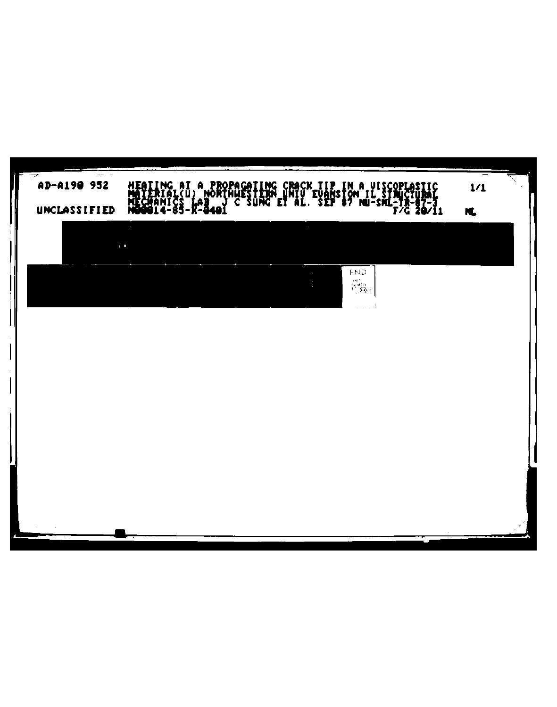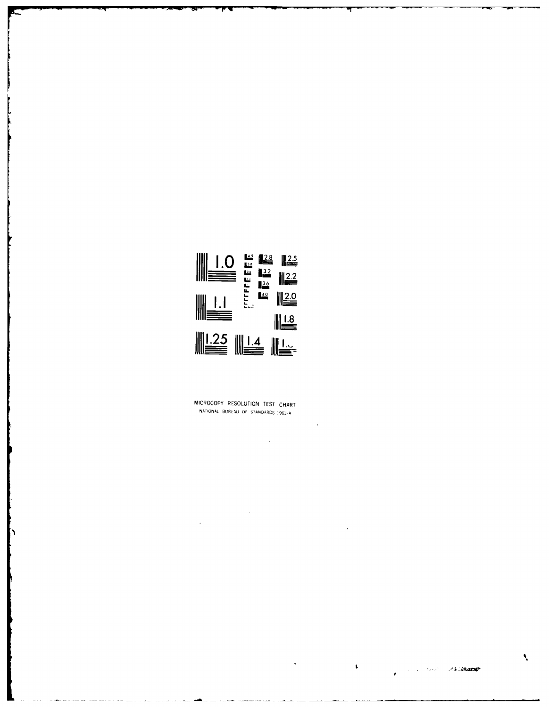

MICROCOPY RESOLUTION TEST CHART NATIONAL BUREAU OF STANDARDS 1963-A

 $\frac{1}{2}$ 

 $\bar{\mathcal{A}}$ 

 $\sim 10$ 

 $\sim$ 

 $\mathbf{v}$ 

 $\ddot{\phantom{a}}$ 

À,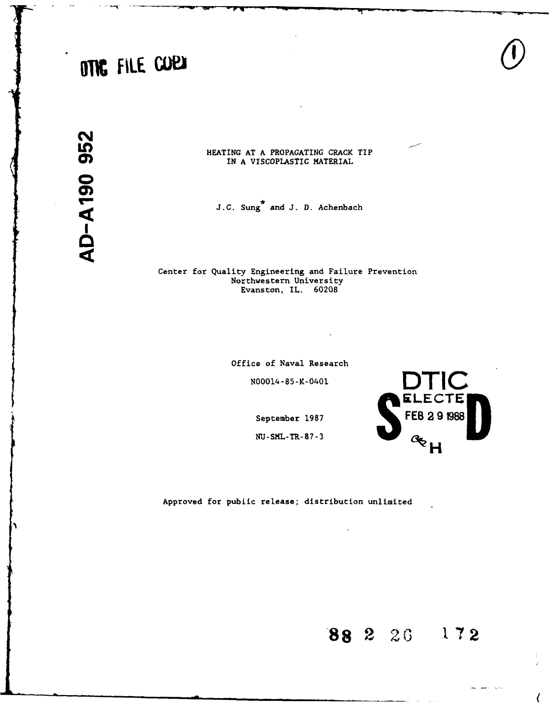# **OTK** FILE COP

**N 0**

**LO** HEATING **AT A** PROPAGATING CRACK TIP IN **A** VISCOPLASTIC MATERIAL

J.C. Sung<sup>\*</sup> and J. D. Achenbach

Center for Quality Engineering and Failure Prevention Northwestern University Evanston, IL. **60208**

Office of Naval Research

N00014-85-K-0401

September 1987 **FEB 2 9 1988** 

**NU-SML-TR-87-3** 

Approved for pubiic release; distribution unlimited

**88 2 2( 172**

**DTIC**<br>ELECTE

 $a_{H}$ 



 $\langle$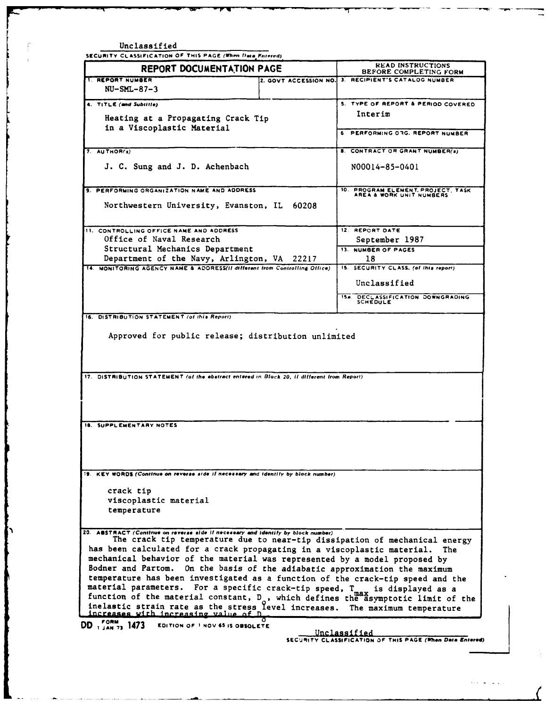Unclassified **SECURITY CLASSIFICATION** OF **THIS PAGE** (When *)ee* **Fuerrd) REPORT DOCUMENTATION PAGE BEFORE COMPLETING FORM 1. REPORT NUMBER** 2. **GOVT ACCESSION NO. 3. RECIPIENT'S CATALOG NUMBER NU-SML-87-3 4. TITLE (and Subtitle) S. TYPE OF REPORT & PERIOD COVERED** Heating at a Propagating Crack Tip **Interim** in a Viscoplastic Material **6 <b>PERFORMING OAG.** REPORT NUMBER **7.** AUTHOR(s) **B. CONTRACT OR GRANT NUMBER(s) J. C.** Sung and J. **D.** Achenbach N00014-85-0401 **9. PERFORMING ORGANIZATION NAME AND ADDRESS 10. PROGRAM ELEMENT. PROJECT. TASK AREA & WORK UNIT NUMBERS** Northwestern University, Evanston, IL 60208 **11. CONTROLLING OFFICE NAME AND ADDRESS 12. REPORT DATE** Office of Naval Research **September 1987** Structural Mechanics Department **13. NUMBER** OF **PAGES** Department of the Navy, Arlington, VA 22217 | 18 **14. MONITORING AGENCY NAME &** ADDRESS(l *different* **from** Controlling *Office)* **IS.** SECURITY **CLASS. (of this** report) Unclassified **ISO DECL.ASSIFICATION DOWNGRADING SCHEDULE 16. DISTRIBUTION STATEMENT** (of this Report) Approved for public release; distribution unlimited **17. DISTRIBUTION STATEMENT (of the abstract entered** *fn* **Block** 20, *It* different from Report) **IS. SUPPLEMENTARY NOTES -.9 KEY WORDS (Continue** *on reverse* **side it necessary** nd *identify* **by** block **number)** crack tip viscoplastic material temperature **20.** ABSTRACT **(Continue** *on* **reverse side If necessary and** *Identify* **by** *block* **number)** The crack tip temperature due to near-tip dissipation of mechanical energy has been calculated for a crack propagating in a viscoplastic material. The mechanical behavior of the material was represented by a model proposed by Bodner and Partom. On the basis of the adiabatic approximation the maximum temperature has been investigated as a function of the crack-tip speed and the material parameters. For a specific crack-tip speed, T **max** is displayed as a function of the material constant, D<sub>o</sub>, which defines the asymptotic limit of the **DO, o.,** 1473 **EDITION OF I NOV 45 IS OBSOLETE** Unclassified **SECURITY CLASSIFICATION OF THIS PAGE (When Data Entered)**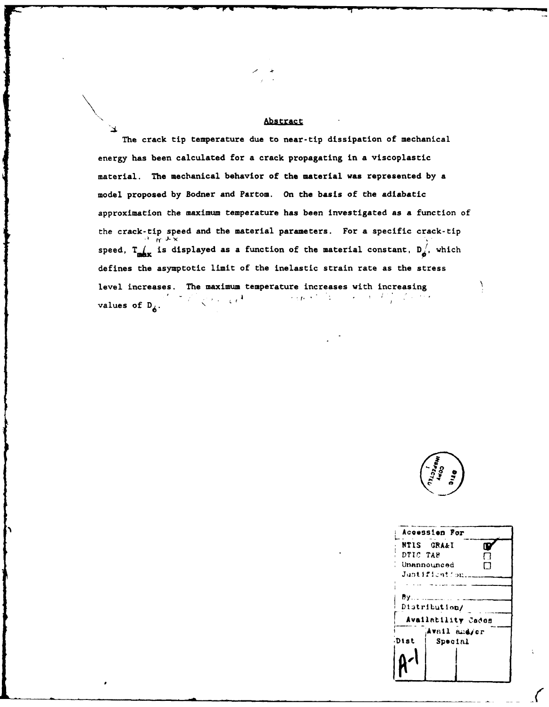## Abstract

The crack tip temperature due to near-tip dissipation of mechanical energy has been calculated for a crack propagating in a viscoplastic material. The mechanical behavior of the material was represented by a model proposed by Bodner and Partom. On the basis of the adiabatic approximation the maximum temperature has been investigated as a function of the crack-tip speed and the material parameters. For a specific crack-tip<br> $\lim_{N \to \infty} x_N$ speed,  $T_{\text{max}}$  is displayed as a function of the material constant,  $D_{\phi}^{'}$ , which defines the asymptotic limit of the inelastic strain rate as the stress level increases. The maximum temperature increases with increasing  $\mathcal{L} = \{ \alpha \in \mathcal{L} \mid \alpha \in \mathcal{L} \}$  , where  $\mathcal{L} = \{ \alpha \in \mathcal{L} \}$  $\mathbb{R}^2 \times \mathbb{R}^2 \times \mathbb{R}^2 \times \mathbb{R}^4$ values of  $D_{\phi}$ .



| Accession For      |  |  |  |  |  |  |
|--------------------|--|--|--|--|--|--|
| NTIS GRA&I         |  |  |  |  |  |  |
| DTIC TAB           |  |  |  |  |  |  |
| Unannounced        |  |  |  |  |  |  |
| Justification      |  |  |  |  |  |  |
|                    |  |  |  |  |  |  |
| Ву… ………………         |  |  |  |  |  |  |
| Distribution/      |  |  |  |  |  |  |
| Availability Cades |  |  |  |  |  |  |
| Avail and/or       |  |  |  |  |  |  |
| Special            |  |  |  |  |  |  |
|                    |  |  |  |  |  |  |
|                    |  |  |  |  |  |  |
|                    |  |  |  |  |  |  |
|                    |  |  |  |  |  |  |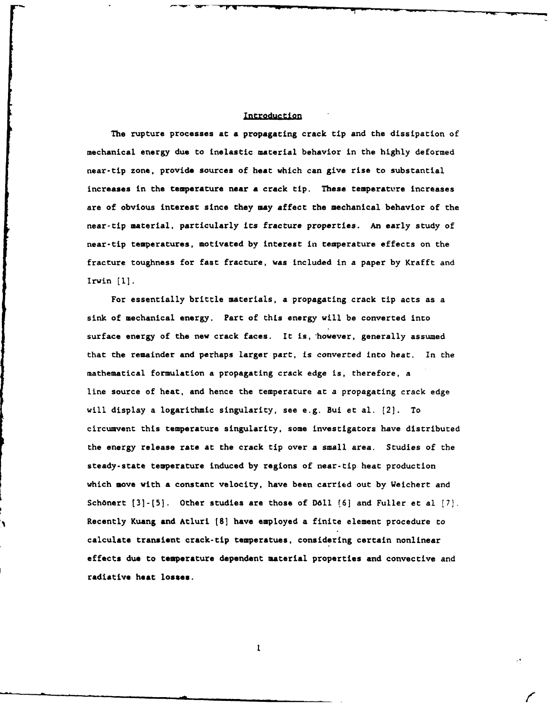#### **Introduction**

The rupture processes at **a** propagating crack tip and the dissipation of mechanical energy due to inelastic material behavior in the **highly** deformed near-tip zone, provide sources of heat which can give rise to substantial increases in the temperature near a crack tip. These temperature increases are of obvious interest since they may affect the mechanical behavior of the near-tip material, particularly its fracture properties. An early study of near-tip temperatures, motivated by interest in temperature effects on the fracture toughness for fast fracture, was included in a paper **by** Krafft and Irwin **[1].**

For essentially brittle materials, a propagating crack tip acts as a sink of mechanical energy. Part of this energy will be converted into surface energy of the new crack faces. It is, however, generally assumed that the remainder and perhaps larger part, is converted into heat. In the mathematical formulation a propagating crack edge is, therefore, a line source of heat, and hence the temperature at a propagating crack edge will display a logarithmic singularity, see e.g. Bui et al. [2]. To circumvent this temperature singularity, some investigators have distributed the energy release rate at the crack tip over a small area. Studies of the steady-state temperature induced **by** regions of near-tip heat production which move with **a** constant velocity, have been carried out **by** Weichert and Sch6nert **[3]-[5].** Other studies are those of **D611 (6]** and Fuller et al **[7).** Recently Kuang and Atluri **[8]** have employed a finite element procedure to calculate transient crack-tip temperatues, considering certain nonlinear effects due to temperature dependent material properties and convective and radiative heat losses.

 $\mathbf{I}$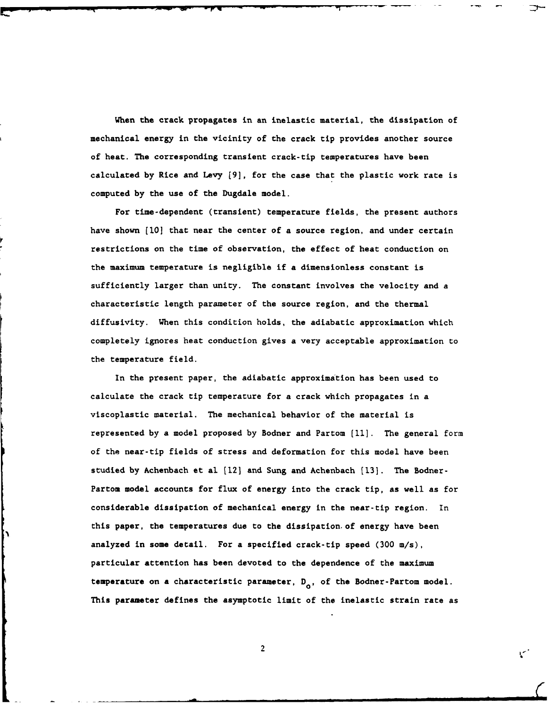When the crack propagates in an inelastic material, the dissipation of mechanical energy in the vicinity of the crack tip provides another source of heat. The corresponding transient crack-tip temperatures have been calculated **by** Rice and Levy **[9],** for the case that the plastic work rate is computed **by** the use of the Dugdale model.

For time-dependent (transient) temperature fields, the present authors have shown **[10]** that near the center of a source region, and under certain restrictions on the time of observation, the effect of heat conduction on the maximum temperature is negligible if a dimensionless constant is sufficiently larger than unity. The constant involves the velocity and a characteristic length parameter of the source region, and the thermal diffusivity. When this condition holds, the adiabatic approximation which completely ignores heat conduction gives a very acceptable approximation to the temperature field.

In the present paper, the adiabatic approximation has been used to calculate the crack tip temperature for a crack which propagates in a viscoplastic material. The mechanical behavior of the material is represented **by** a model proposed **by** Bodner and Partom **[11].** The general form of the near-tip fields of stress and deformation for this model have been studied **by** Achenbach et al **[12]** and Sung and Achenbach **[13].** The Bodner-Partom model accounts for flux of energy into the crack tip, as well as for considerable dissipation of mechanical energy in the near-tip region. In this paper, the temperatures due to the dissipation. of energy have been analyzed in some detail. For a specified crack-tip speed **(300** m/s), particular attention has been devoted to the dependence of the maximum temperature on a characteristic parameter,  $D_{0}$ , of the Bodner-Partom model. This parameter defines the asymptotic limit of the inelastic strain rate as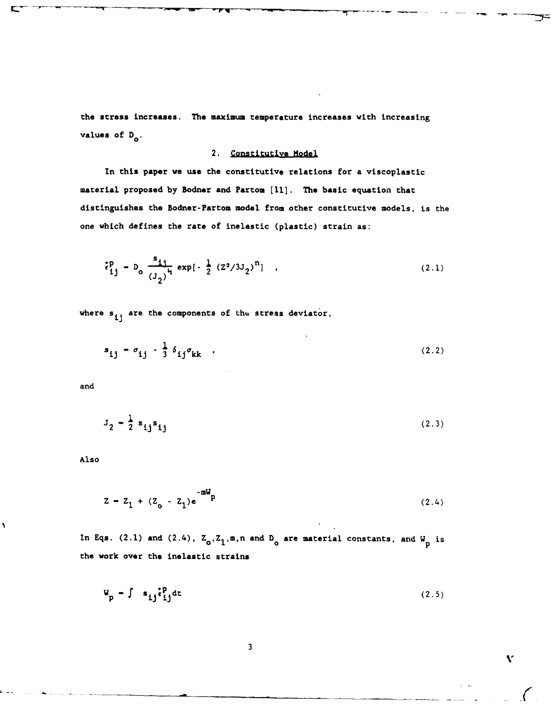the stress increases. The maximum temperature increases with increasing values of  $D_0$ .

## 2. Constitutive Model

In this paper we use the constitutive relations for a viscoplastic material proposed by Bodner and Partom [11]. The basic equation that distinguishes the Bodner-Partom model from other constitutive models, is the one which defines the rate of inelastic (plastic) strain as:

$$
\frac{1}{2}P_0 = D_0 \frac{1}{(J_2)^{1/2}} \exp\left[-\frac{1}{2} (Z^2/3J_2)^{1/2}\right] \quad . \tag{2.1}
$$

where  $s_{ij}$  are the components of the stress deviator,

$$
s_{ij} - \sigma_{ij} - \frac{1}{3} \delta_{ij} \sigma_{kk} \qquad (2.2)
$$

and

$$
J_2 - \frac{1}{2} s_{ij} s_{ij}
$$
 (2.3)

Also

١

$$
z = z_1 + (z_o - z_1)e^{-mV} \tag{2.4}
$$

In Eqs. (2.1) and (2.4),  $Z_0, Z_1, m, n$  and  $D_0$  are material constants, and  $W_p$  is the work over the inelastic strains

$$
W_p = \int s_{ij} \dot{\epsilon}_{ij}^p dt
$$
 (2.5)

 $\mathbf{v}$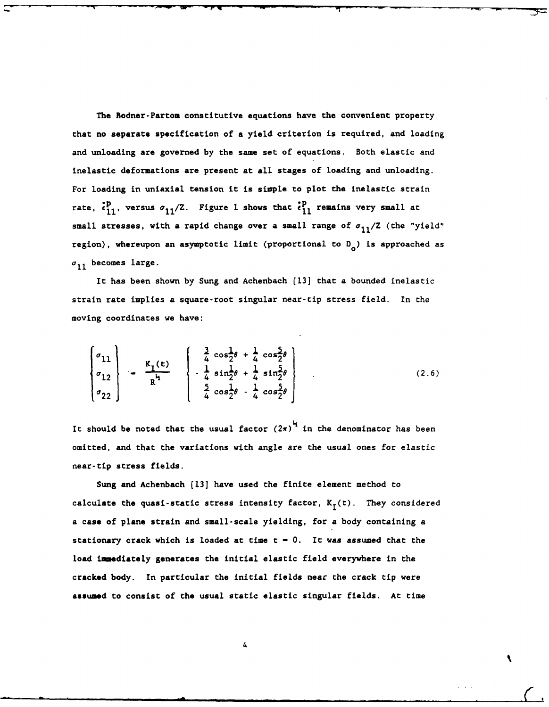The Bodner-Partom constitutive equations have the convenient property that no separate specification of a yield criterion is required, and loading and unloading are governed **by** the same set of equations. Both elastic and inelastic deformations are present at all stages of loading and unloading. For loading in uniaxial tension it is simple to plot the inelastic strain rate,  ${}_{11}^{p}$ , versus  $\sigma_{11}/Z$ . Figure 1 shows that  ${}_{11}^{p}$  remains very small at small stresses, with a rapid change over a small range of  $\sigma_{11}/Z$  (the "yield" region), whereupon an asymptotic limit (proportional to  $D_0$ ) is approached as  $\sigma_{11}$  becomes large.

It has been shown **by** Sung and Achenbach (13] that a bounded inelastic strain rate implies a square-root singular near-tip stress field. In the moving coordinates we have:

$$
\begin{bmatrix} \sigma_{11} \\ \sigma_{12} \\ \sigma_{22} \end{bmatrix} - \frac{K_{I}(t)}{R^{i}} \begin{bmatrix} \frac{3}{4} \cos \frac{1}{2}\theta + \frac{1}{4} \cos \frac{5}{2}\theta \\ -\frac{1}{4} \sin \frac{1}{2}\theta + \frac{1}{4} \sin \frac{5}{2}\theta \\ \frac{5}{4} \cos \frac{1}{2}\theta - \frac{1}{4} \cos \frac{5}{2}\theta \end{bmatrix}
$$
 (2.6)

It should be noted that the usual factor  $(2\pi)^{\frac{1}{2}}$  in the denominator has been omitted, and that the variations with angle are the usual ones for elastic near-tip stress fields.

Sung and Achenbach (13] have used the finite element method to calculate the quasi-static stress intensity factor,  $K_T(t)$ . They considered a case of plane strain and small-scale yielding, for a body containing a stationary crack which is loaded at time **t - 0.** It was assumed that the load immediately generates the initial elastic field everywhere in the cracked body. In particular the initial fields near the crack tip were **assumed** to consist of the usual static elastic singular fields. At time

4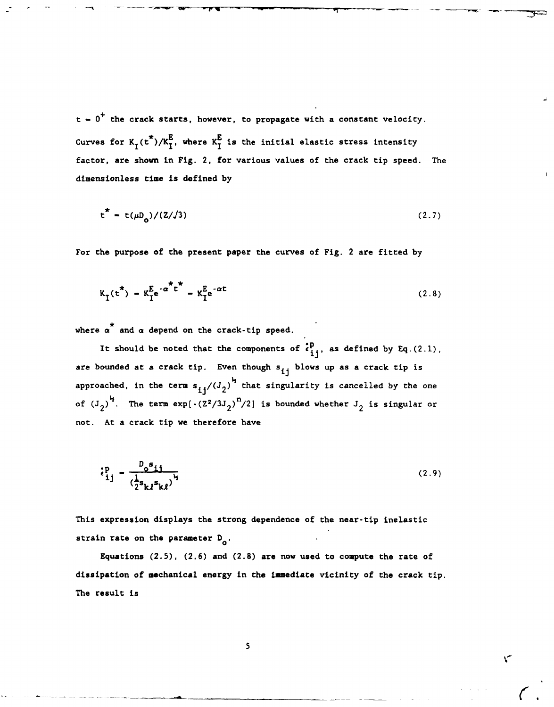t **- 0+** the crack starts, however, to propagate with a constant velocity. Curves for  $K_{\tau}$ (t<sup>\*</sup>)/ $K_{\tau}^{E}$ , where  $K_{\tau}^{E}$  is the initial elastic stress intensity factor, are shown in Fig. 2, for various values of the crack tip speed. The dimensionless time is defined **by**

$$
t^* = t(\mu D_o)/(Z/\sqrt{3})
$$
 (2.7)

For the purpose of the present paper the curves of Fig. 2 are fitted **by**

$$
K_{I}(t^{*}) = K_{I}^{\mathbf{E}} e^{-\alpha^{*}t^{*}} = K_{I}^{\mathbf{E}} e^{-\alpha t}
$$
 (2.8)

where  $\alpha^*$  and  $\alpha$  depend on the crack-tip speed.

It should be noted that the components of  $\begin{array}{c} \epsilon_{1j}^{p} \\ \epsilon_{2j} \end{array}$ , as defined by Eq.(2.1), are bounded at a crack tip. Even though s<sub>ij</sub> blows up as a crack tip is approached, in the term  $s_{i,j}/(J_2)^{k_j}$  that singularity is cancelled by the one of  $(J_2)^{\frac{1}{2}}$ . The term  $\exp\left[-(2^2/3J_2)^n/2\right]$  is bounded whether  $J_2$  is singular or not. At a crack tip we therefore have

$$
\hat{\epsilon}_{ij}^{\text{P}} = \frac{D_0 s_{ij}}{\left(\frac{1}{2} s_{k\ell} s_{k\ell}\right)^{\frac{1}{2}}} \tag{2.9}
$$

This expression displays the strong dependence of the near-tip inelastic strain rate on the parameter  $D_{\alpha}$ .

Equations **(2.5), (2.6)** and **(2.8)** are now used to compute the rate of dissipation of mechanical energy in the imediate vicinity of the crack tip. The result is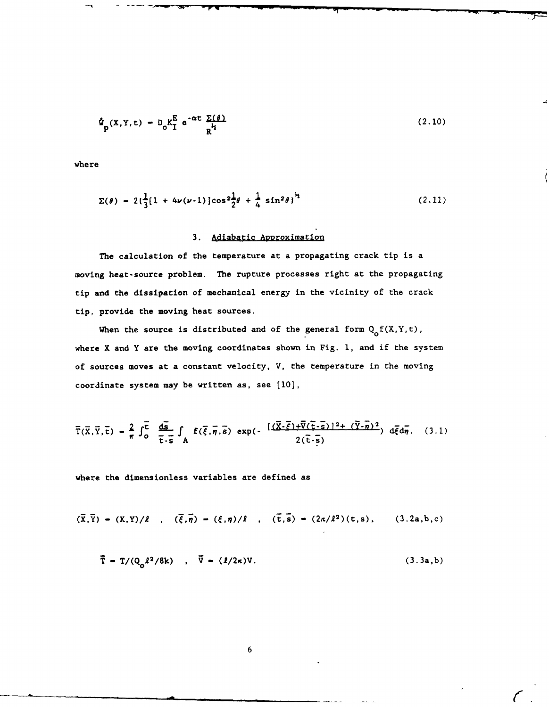$$
\hat{\Psi}_{p}(X,Y,t) = D_0 K_I^{E} e^{-\alpha t} \frac{\Sigma(\theta)}{R^{k_1}}
$$
 (2.10)

where

$$
\Sigma(\theta) = 2\left(\frac{1}{3}[1 + 4\nu(\nu-1)]\cos^2\frac{1}{2}\theta + \frac{1}{4}\sin^2\theta\right)^{\frac{1}{2}}
$$
 (2.11)

## 3. Adiabatic Approximation

The calculation of the temperature at a propagating crack tip is a moving heat-source problem. The rupture processes right at the propagating tip and the dissipation of mechanical energy in the vicinity of the crack tip, provide the moving heat sources.

When the source is distributed and of the general form  $Q_{o}f(X,Y,t)$ , where  $X$  and  $Y$  are the moving coordinates shown in Fig. 1, and if the system of sources moves at a constant velocity, **V,** the temperature in the moving coordinate system may be written as, see **[10],**

$$
\overline{T}(\overline{X},\overline{Y},\overline{t}) = \frac{2}{\pi} \int_0^{\overline{t}} \frac{d\overline{S}}{\overline{t} \cdot \overline{s}} \int_A f(\overline{\xi},\overline{\eta},\overline{s}) \exp(-\frac{[(\overline{X}\cdot\overline{\xi})+\overline{V}(\overline{t}\cdot\overline{s})]^2 + (\overline{Y}\cdot\overline{\eta})^2}{2(\overline{t}\cdot\overline{s})}) d\overline{\xi} d\overline{\eta}. \quad (3.1)
$$

where the dimensionless variables are defined as

$$
(\bar{x}, \bar{Y}) - (X, Y)/\ell , \quad (\bar{\xi}, \bar{\eta}) - (\xi, \eta)/\ell , \quad (\bar{t}, \bar{s}) - (2\kappa/\ell^2)(t, s), \quad (3.2a, b, c)
$$

$$
\overline{T} = T/(Q_0 l^2 / 8k) , \overline{V} = (l/2\kappa)V.
$$
 (3.3a,b)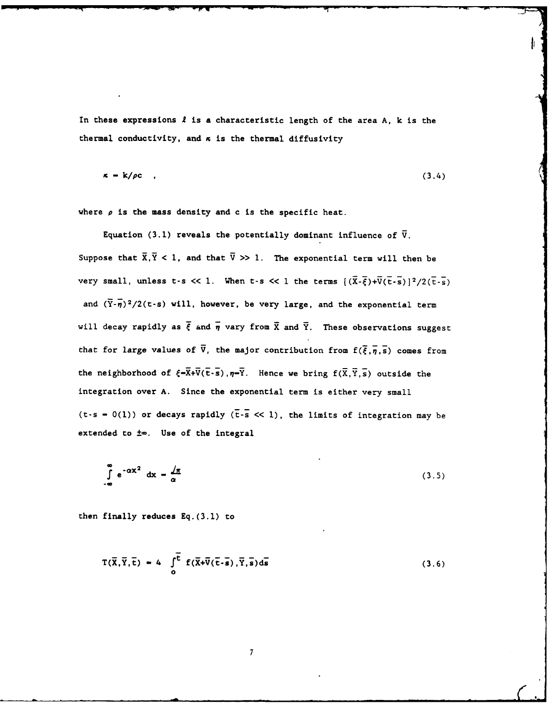In these expressions **I** is **a** characteristic length of the area **A, k** is the thermal conductivity, and **x** is the thermal diffusivity

$$
\kappa = k/\rho c \quad , \tag{3.4}
$$

where  $\rho$  is the mass density and c is the specific heat.

Equation (3.1) reveals the potentially dominant influence of  $\bar{V}$ . Suppose that  $\overline{X}, \overline{Y} < 1$ , and that  $\overline{V} \gg 1$ . The exponential term will then be very small, unless t-s << 1. When t-s << 1 the terms  $(\overline{X}-\overline{\xi})+\overline{V}(\overline{t}-\overline{s})$ ]<sup>2</sup>/2( $\overline{t}-\overline{s}$ ) and  $(\overline{Y}\cdot\overline{n})^2/2(t-s)$  will, however, be very large, and the exponential term will decay rapidly as  $\bar{\xi}$  and  $\bar{\eta}$  vary from  $\bar{X}$  and  $\bar{Y}$ . These observations suggest that for large values of  $\bar{v}$ , the major contribution from  $f(\bar{\xi},\bar{\eta},\bar{s})$  comes from the neighborhood of  $\xi = \overline{X} + \overline{V}(\overline{t} - \overline{s})$ ,  $\eta = \overline{Y}$ . Hence we bring  $f(\overline{X}, \overline{Y}, \overline{s})$  outside the integration over **A.** Since the exponential term is either very small (t-s =  $0(1)$ ) or decays rapidly ( $\overline{t}$ - $\overline{s}$  << 1), the limits of integration may be extended to **±w.** Use of the integral

$$
\int_{-\infty}^{\infty} e^{-\alpha x^2} dx - \frac{1}{\alpha} \tag{3.5}
$$

then finally reduces **Eq.(3.1)** to

$$
T(\overline{X}, \overline{Y}, \overline{t}) = 4 \int_{0}^{\overline{t}} f(\overline{X} + \overline{V}(\overline{t} - \overline{s}), \overline{Y}, \overline{s}) d\overline{s}
$$
 (3.6)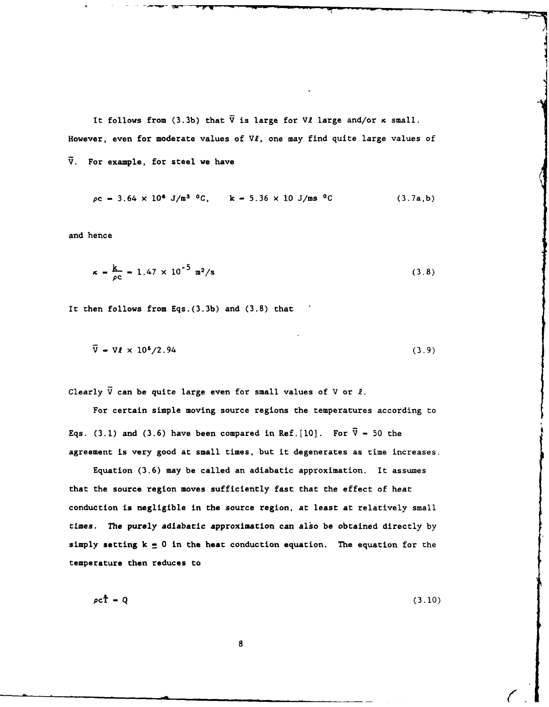It follows from  $(3.3b)$  that  $\overline{V}$  is large for V*l* large and/or  $\kappa$  small. However, even for moderate values of  $V\ell$ , one may find quite large values of **V.** For example, for steel we have

$$
\rho c = 3.64 \times 10^6 \text{ J/m}^3 \text{ }^0\text{C}, \qquad k = 5.36 \times 10 \text{ J/m} \text{s} \text{ }^0\text{C}
$$
 (3.7a,b)

and hence

$$
\kappa = \frac{k}{\rho c} = 1.47 \times 10^{-5} \text{ m}^2/\text{s}
$$
 (3.8)

It then follows from Eqs.(3.3b) and **(3.8)** that

$$
\overline{\mathbf{V}} = \mathbf{V}\mathbf{\ell} \times 10^5 / 2.94 \tag{3.9}
$$

Clearly  $\bar{V}$  can be quite large even for small values of  $V$  or  $l$ .

For certain simple moving source regions the temperatures according to Eqs. (3.1) and (3.6) have been compared in Ref. [10]. For  $\bar{V}$  = 50 the agreement is very good at small times, but it degenerates as time increases.

Equation (3.6) may be called an adiabatic approximation. It assumes that the source region moves sufficiently fast that the effect of heat conduction is negligible in the source region, at least at relatively small times. **The** purely adiabatic approximation can also be obtained directly **by** simply setting **k =** 0 in the heat conduction equation. The equation for the temperature then reduces to

 $p \cdot \mathbf{r} - \mathbf{Q}$  (3.10)

 $\angle$  I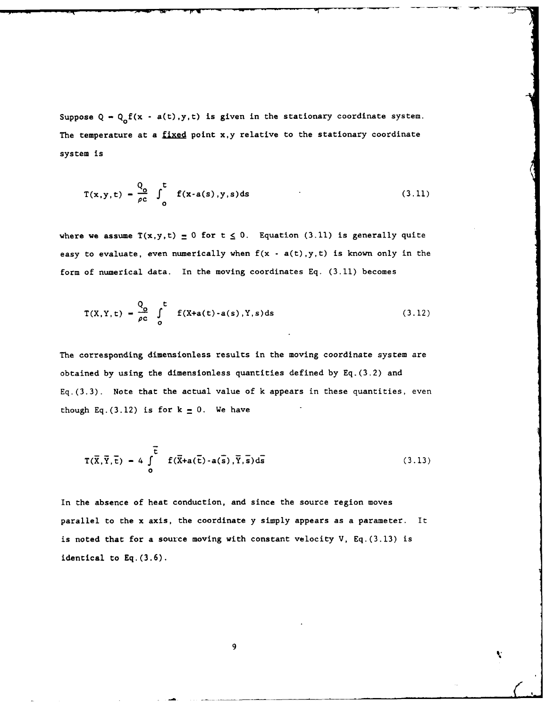Suppose  $Q - Q_0 f(x - a(t), y, t)$  is given in the stationary coordinate system. The temperature at a **fixed** point x,y relative to the stationary coordinate system is

$$
T(x,y,t) = \frac{Q_0}{\rho c} \int_0^t f(x-a(s),y,s)ds
$$
 (3.11)

**I --** F-6 **-- -** -- **-- - . ' -- - -- - -k - -**

where we assume  $T(x,y,t) = 0$  for  $t \le 0$ . Equation (3.11) is generally quite easy to evaluate, even numerically when  $f(x - a(t), y, t)$  is known only in the form of numerical data. In the moving coordinates Eq. (3.11) becomes

$$
T(X,Y,t) = \frac{Q_0}{\rho c} \int_0^t f(X+a(t) - a(s),Y,s) ds
$$
 (3.12)

The corresponding dimensionless results in the moving coordinate system are obtained by using the dimensionless quantities defined by Eq.(3.2) and  $Eq. (3.3)$ . Note that the actual value of k appears in these quantities, even though Eq.(3.12) is for  $k = 0$ . We have

$$
T(\overline{X}, \overline{Y}, \overline{t}) = 4 \int_{0}^{\overline{t}} f(\overline{X} + a(\overline{t}) - a(\overline{s}), \overline{Y}, \overline{s}) d\overline{s}
$$
 (3.13)

In the absence of heat conduction, and since the source region moves parallel to the x axis, the coordinate y simply appears as a parameter. It is noted that for a source moving with constant velocity V, Eq.(3.13) is identical to **Eq.(3.6).**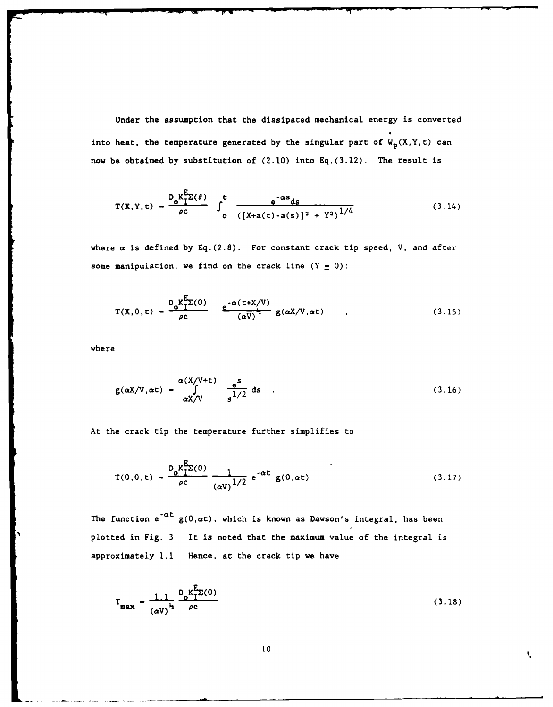Under the assumption that the dissipated mechanical energy is converted into heat, the temperature generated by the singular part of  $W_p(X,Y,t)$  can **now** be obtained by substitution of (2.10) into **Eq.(3.12).** The result is

$$
T(X,Y,t) = \frac{D_0 K_1^E \Sigma(\theta)}{\rho c} \int_0^t \frac{e^{-\alpha s} ds}{([X+a(t)-a(s)]^2 + Y^2)^{1/4}}
$$
(3.14)

where a is defined **by Eq.(2.8).** For constant crack tip speed, V, and after some manipulation, we find on the crack line  $(Y = 0)$ :

$$
T(X,0,t) = \frac{D_0 K_1^E \Sigma(0)}{\rho c} \qquad \frac{e^{-\alpha (t+X/V)}}{(\alpha V)^{\frac{1}{2}}} g(\alpha X/V, \alpha t) \qquad , \qquad (3.15)
$$

where

$$
g(\alpha X/V, \alpha t) = \int_{\alpha X/V}^{\alpha (X/V + t)} \frac{e^s}{s^{1/2}} ds
$$
 (3.16)

At the crack tip the temperature further simplifies to

$$
T(0,0,t) = \frac{D_0 K_1^E \Sigma(0)}{\rho c} \frac{1}{(\alpha V)^{1/2}} e^{-\alpha t} g(0,\alpha t)
$$
 (3.17)

The function  $e^{-\alpha t} g(0, \alpha t)$ , which is known as Dawson's integral, has been plotted in Fig. **3.** It is noted that the maximum value of the integral is approximately **1.1.** Hence, at the crack tip we have

$$
T_{\max} = \frac{1.1}{(aV)^{\frac{1}{2}}} \frac{D_0 K_L^{E_2(0)}}{\rho c}
$$
 (3.18)

N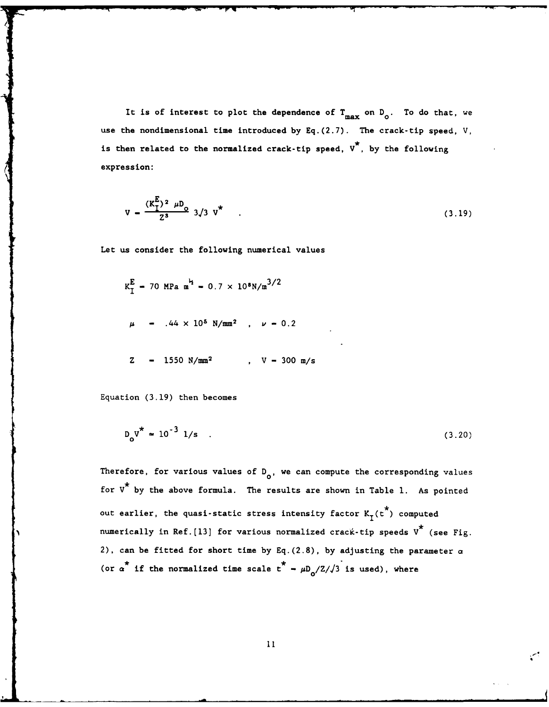It is of interest to plot the dependence of  $T_{max}$  on  $D_0$ . To do that, we use the nondimensional time introduced **by Eq.(2.7).** The crack-tip speed, V, is then related to the normalized crack-tip speed,  $v^*$ , by the following expression:

$$
V = \frac{(K_{1}^{E})^{2} \mu D_{0}}{2^{3}} \frac{3}{3} V^{\star}
$$
 (3.19)

Let us consider the following numerical values

$$
K_{\rm I}^{\rm E}
$$
 = 70 MPa m<sup>2</sup> = 0.7 × 10<sup>8</sup>N/m<sup>3/2</sup>  
\n $\mu$  = .44 × 10<sup>5</sup> N/mm<sup>2</sup> ,  $\nu$  = 0.2  
\nZ = 1550 N/mm<sup>2</sup> , V = 300 m/s

Equation **(3.19)** then becomes

$$
D_0 V^* \approx 10^{-3} \text{ l/s} \tag{3.20}
$$

Therefore, for various values of D<sub>o</sub>, we can compute the corresponding values for **V\*** by the above formula. The results are shown in Table **1.** As pointed out earlier, the quasi-static stress intensity factor  $K_{\tau}(\tau^{\star})$  computed numerically in Ref.[13] for various normalized crack-tip speeds  $v^*$  (see Fig. 2), can be fitted for short time by **Eq.(2.8),** by adjusting the parameter a (or  $\alpha^*$  if the normalized time scale  $t^* - \mu D_0/Z//3$  is used), where

11.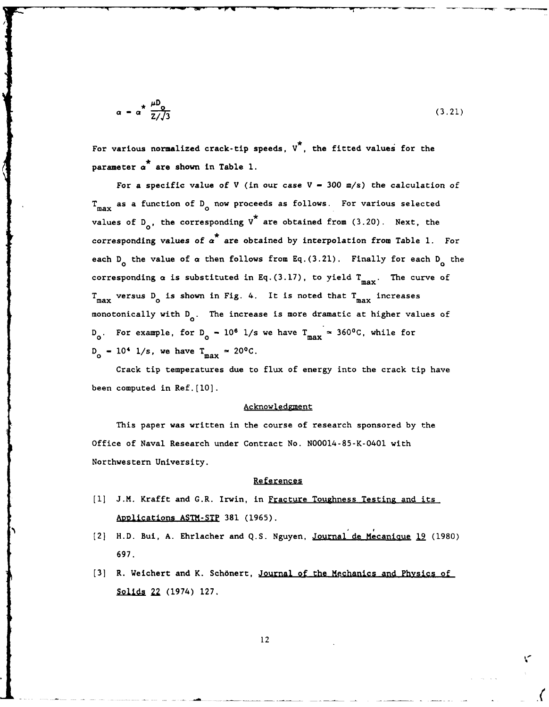$$
\alpha - \alpha^* \frac{\mu D_0}{Z/\sqrt{3}} \tag{3.21}
$$

For various normalized crack-tip speeds, **V\*,** the fitted values for the parameter  $\alpha^*$  are shown in Table 1.

For a specific value of V (in our case V **- 300** m/s) the calculation of T<sub>max</sub> as a function of D<sub>o</sub> now proceeds as follows. For various selected values of D<sub>2</sub>, the corresponding V<sup>\*</sup> are obtained from (3.20). Next, the corresponding values of  $\alpha^*$  are obtained by interpolation from Table 1. For each  $D_{\alpha}$  the value of  $\alpha$  then follows from Eq.(3.21). Finally for each  $D_{\alpha}$  the corresponding  $\alpha$  is substituted in Eq.(3.17), to yield  $T_{max}$ . The curve of  $T_{\text{max}}$  versus D<sub>0</sub> is shown in Fig. 4. It is noted that  $T_{\text{max}}$  increases monotonically with  $D_{0}$ . The increase is more dramatic at higher values of  $D_0$ . For example, for  $D_0 = 10^6$  l/s we have  $T_{max} \approx 360^{\circ}$ C, while for  $D_0 = 10^4$  1/s, we have  $T_{max} \approx 20^0C$ .

Crack tip temperatures due to flux of energy into the crack tip have been computed in Ref.[10].

### Acknowledgment

This paper was written in the course of research sponsored by the Office of Naval Research under Contract No. N00014-85-K-0401 with Northwestern University.

### References

- **[1] J.M.** Krafft and G.R. Irwin, in Fracture Toughness Testing and its ADlications **ASTM-STP 381 (1965).**
- [2] H.D. Bui, **A.** Ehrlacher and **Q.S.** Nguyen, Journal de Mecaniaue **19 (1980) 697.**
- [3] R. Weichert and K. Schönert, Journal of the Mechanics and Physics of Solids 22 (1974) 127.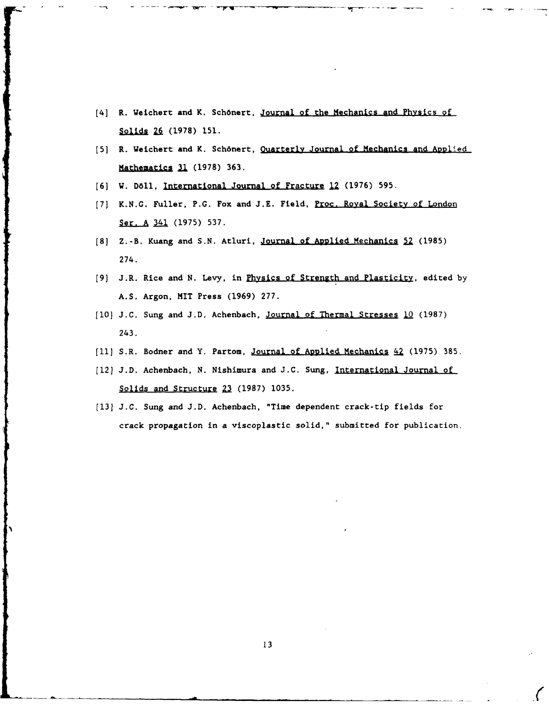- [4] R. Weichert and K. Sch6nert, Journal of the Mechanics and Physics of Solids 26 (1978) 151.
- [5] R. Weichert and K. Schönert, Quarterly Journal of Mechanics and Applied Mathematics 31 (1978) 363.
- **[6]** W. **Da11,** International Journal of Fracture **12 (1976) 595.**
- **[7] K.N.G.** Fuller, **P.G.** Fox and **J.E.** Field, Proc. Royal Society of London Ser. A 341 (1975) 537.
- **[8]** Z. -B. Kuang and **S.N.** Atluri, Journal of AD1plied Mechanics **zj (1985)** 274.
- **[9]** J.R. Rice and **N.** Levy, in Physics of Strength and Plasticity, edited **by A.S.** Argon, MIT Press **(1969) 277.**
- [10] **J.C. Sung and J.D. Achenbach**, **<u>Journal of Thermal Stresses 10</u> (1987)** 243.
- [11] S.R. Bodner and Y. Partom, Journal of Applied Mechanics **42** (1975) 385.
- [12] **J.D.** Achenbach, **N.** Nishimura and **J.C.** Sung, International Journal of **L(**Solids and Structure 22 **(1987) 1035.**
- **[13] J.C.** Sung and **J.D.** Achenbach, "Time dependent crack-tip fields for crack propagation in a viscoplastic solid," submitted for publication.

**'1**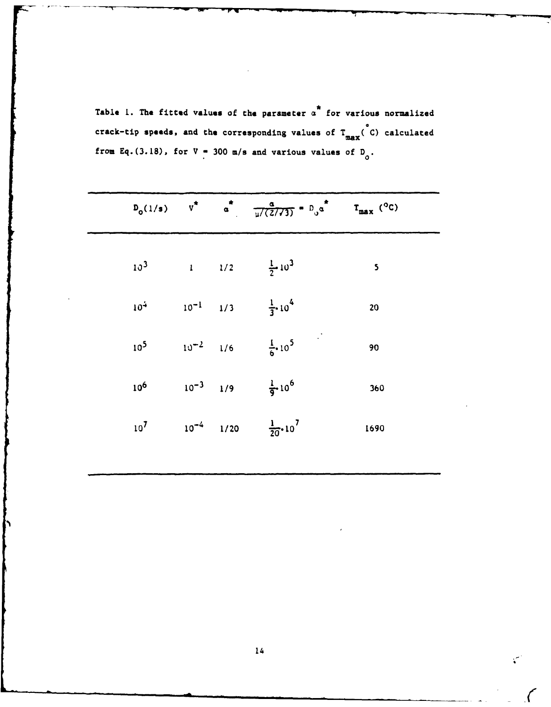Table 1. The fitted values of the parameter  $\alpha^*$  for various normalized crack-tip speeds, and the corresponding values of  $T_{max}$ <sup>o</sup>C) calculated from Eq. (3.18), for  $V = 300$  m/s and various values of D<sub>0</sub>.

|  |  | $D_0(1/s)$ $v^*$ $a^*$ $\frac{a}{\mu/(2/73)} = D_0 a^*$ $T_{max}$ (°C) |              |
|--|--|------------------------------------------------------------------------|--------------|
|  |  | $10^3$ 1 $1/2$ $\frac{1}{2}10^3$                                       | $\mathsf{s}$ |
|  |  | $10^4$ $10^{-1}$ $1/3$ $\frac{1}{3} \cdot 10^4$                        | 20           |
|  |  | $10^5$ $10^{-2}$ $1/6$ $\frac{1}{6}$ , $10^5$                          | 90           |
|  |  | $10^6$ $10^{-3}$ $1/9$ $\frac{1}{9}$ $10^6$                            | 360          |
|  |  | $10^7$ $10^{-4}$ $1/20$ $\frac{1}{20}$ $10^7$                          | 1690         |
|  |  |                                                                        |              |

 $\mathbf{C}$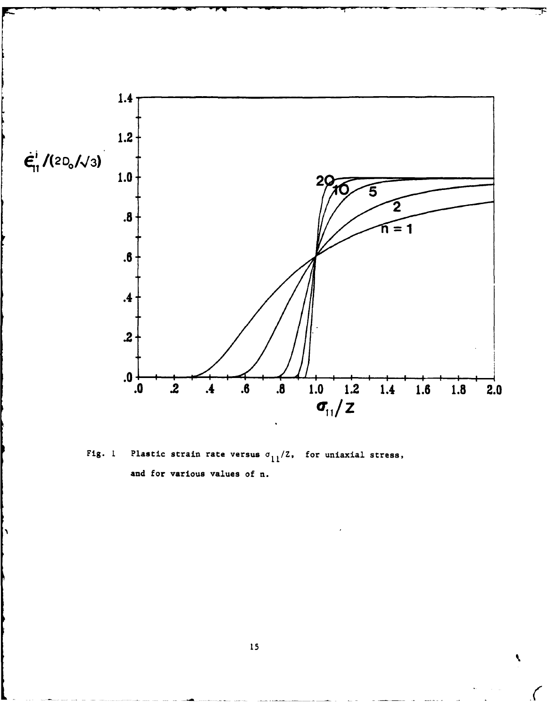

Fig. 1 **Plastic strain rate versus**  $\sigma_{11}/Z$ , for uniaxial stress, and for various values of n.

 $\pmb{\zeta}$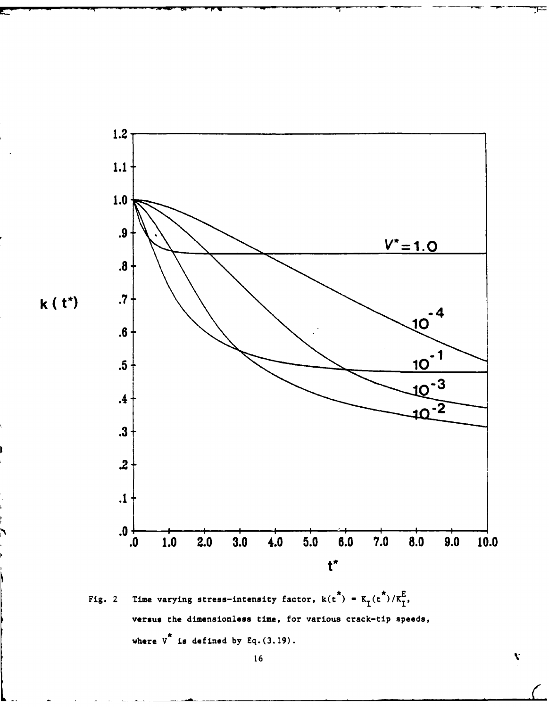

Fig. 2 Time varying stress-intensity factor,  $k(t^*) = K_I(t^*)/K_I^E$ , versus the dimensionless time, for various crack-tip speeds, where  $v^*$  is defined by  $Eq. (3.19)$ .

 $\bar{\mathbf{v}}$ 

Ŧ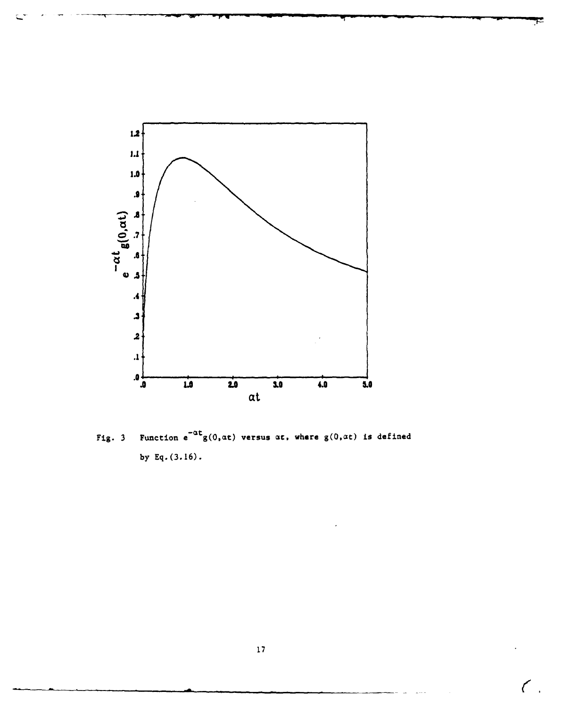

Fig. 3 Function  $e^{-\alpha t}g(0, \alpha t)$  versus  $\alpha t$ , where  $g(0, \alpha t)$  is defined by Eq.  $(3.16)$ .

 $\epsilon$ .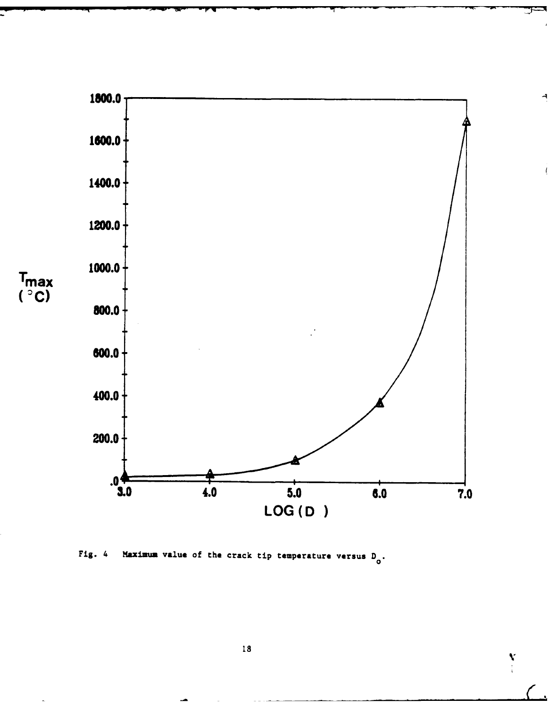

Fig. 4 Maximum value of the crack tip temperature versus D<sub>o</sub>.

 $\sum_{i=1}^{N}$